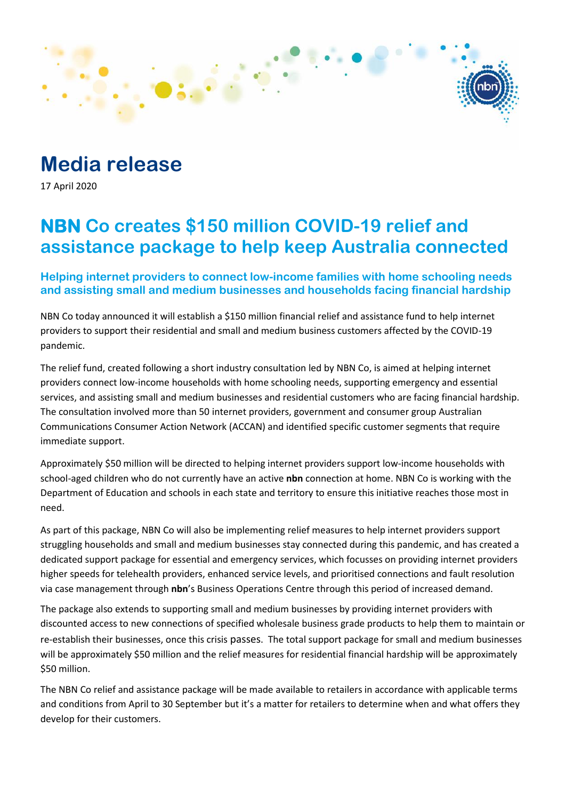# **Media release**

17 April 2020

## **NBN Co creates \$150 million COVID-19 relief and assistance package to help keep Australia connected**

### **Helping internet providers to connect low-income families with home schooling needs and assisting small and medium businesses and households facing financial hardship**

NBN Co today announced it will establish a \$150 million financial relief and assistance fund to help internet providers to support their residential and small and medium business customers affected by the COVID-19 pandemic.

The relief fund, created following a short industry consultation led by NBN Co, is aimed at helping internet providers connect low-income households with home schooling needs, supporting emergency and essential services, and assisting small and medium businesses and residential customers who are facing financial hardship. The consultation involved more than 50 internet providers, government and consumer group Australian Communications Consumer Action Network (ACCAN) and identified specific customer segments that require immediate support.

Approximately \$50 million will be directed to helping internet providers support low-income households with school-aged children who do not currently have an active **nbn** connection at home. NBN Co is working with the Department of Education and schools in each state and territory to ensure this initiative reaches those most in need.

As part of this package, NBN Co will also be implementing relief measures to help internet providers support struggling households and small and medium businesses stay connected during this pandemic, and has created a dedicated support package for essential and emergency services, which focusses on providing internet providers higher speeds for telehealth providers, enhanced service levels, and prioritised connections and fault resolution via case management through **nbn**'s Business Operations Centre through this period of increased demand.

The package also extends to supporting small and medium businesses by providing internet providers with discounted access to new connections of specified wholesale business grade products to help them to maintain or re-establish their businesses, once this crisis passes. The total support package for small and medium businesses will be approximately \$50 million and the relief measures for residential financial hardship will be approximately \$50 million.

The NBN Co relief and assistance package will be made available to retailers in accordance with applicable terms and conditions from April to 30 September but it's a matter for retailers to determine when and what offers they develop for their customers.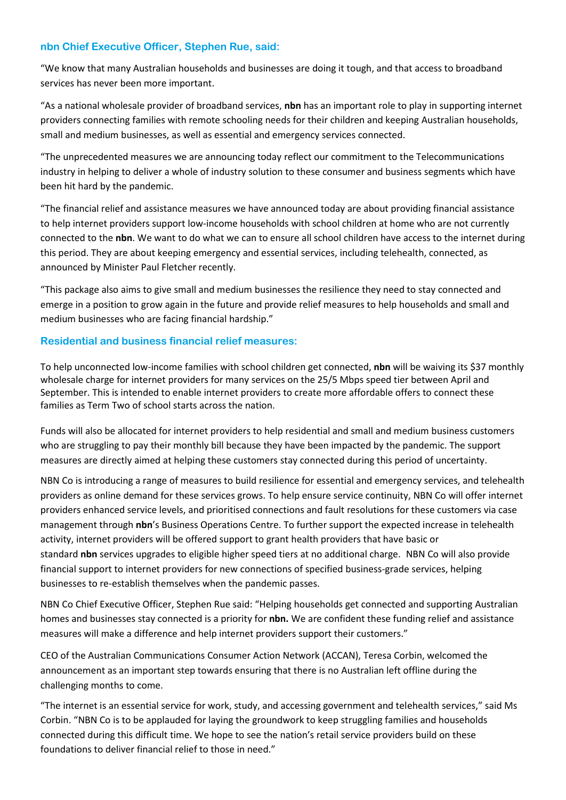#### **nbn Chief Executive Officer, Stephen Rue, said:**

"We know that many Australian households and businesses are doing it tough, and that access to broadband services has never been more important.

"As a national wholesale provider of broadband services, **nbn** has an important role to play in supporting internet providers connecting families with remote schooling needs for their children and keeping Australian households, small and medium businesses, as well as essential and emergency services connected.

"The unprecedented measures we are announcing today reflect our commitment to the Telecommunications industry in helping to deliver a whole of industry solution to these consumer and business segments which have been hit hard by the pandemic.

"The financial relief and assistance measures we have announced today are about providing financial assistance to help internet providers support low-income households with school children at home who are not currently connected to the **nbn**. We want to do what we can to ensure all school children have access to the internet during this period. They are about keeping emergency and essential services, including telehealth, connected, as announced by Minister Paul Fletcher recently.

"This package also aims to give small and medium businesses the resilience they need to stay connected and emerge in a position to grow again in the future and provide relief measures to help households and small and medium businesses who are facing financial hardship."

#### **Residential and business financial relief measures:**

To help unconnected low-income families with school children get connected, **nbn** will be waiving its \$37 monthly wholesale charge for internet providers for many services on the 25/5 Mbps speed tier between April and September. This is intended to enable internet providers to create more affordable offers to connect these families as Term Two of school starts across the nation.

Funds will also be allocated for internet providers to help residential and small and medium business customers who are struggling to pay their monthly bill because they have been impacted by the pandemic. The support measures are directly aimed at helping these customers stay connected during this period of uncertainty.

NBN Co is introducing a range of measures to build resilience for essential and emergency services, and telehealth providers as online demand for these services grows. To help ensure service continuity, NBN Co will offer internet providers enhanced service levels, and prioritised connections and fault resolutions for these customers via case management through **nbn**'s Business Operations Centre. To further support the expected increase in telehealth activity, internet providers will be offered support to grant health providers that have basic or standard **nbn** services upgrades to eligible higher speed tiers at no additional charge. NBN Co will also provide financial support to internet providers for new connections of specified business-grade services, helping businesses to re-establish themselves when the pandemic passes.

NBN Co Chief Executive Officer, Stephen Rue said: "Helping households get connected and supporting Australian homes and businesses stay connected is a priority for **nbn.** We are confident these funding relief and assistance measures will make a difference and help internet providers support their customers."

CEO of the Australian Communications Consumer Action Network (ACCAN), Teresa Corbin, welcomed the announcement as an important step towards ensuring that there is no Australian left offline during the challenging months to come.

"The internet is an essential service for work, study, and accessing government and telehealth services," said Ms Corbin. "NBN Co is to be applauded for laying the groundwork to keep struggling families and households connected during this difficult time. We hope to see the nation's retail service providers build on these foundations to deliver financial relief to those in need."